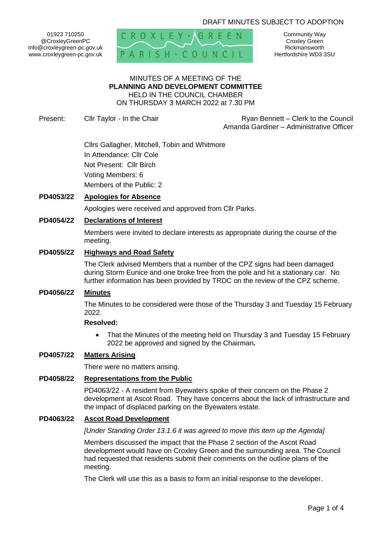# DRAFT MINUTES SUBJECT TO ADOPTION

01923 710250 @CroxleyGreenPC info@croxleygreen-pc.gov.uk www.croxleygreen-pc.gov.uk



Community Way Croxley Green Rickmansworth Hertfordshire WD3 3SU

#### MINUTES OF A MEETING OF THE **PLANNING AND DEVELOPMENT COMMITTEE** HELD IN THE COUNCIL CHAMBER ON THURSDAY 3 MARCH 2022 at 7.30 PM

Present: Cllr Taylor - In the Chair **Ryan Bennett** – Clerk to the Council Amanda Gardiner – Administrative Officer

> Cllrs Gallagher, Mitchell, Tobin and Whitmore In Attendance: Cllr Cole Not Present: Cllr Birch Voting Members: 6 Members of the Public: 2

# **PD4053/22 Apologies for Absence**

Apologies were received and approved from Cllr Parks.

## **PD4054/22 Declarations of Interest**

Members were invited to declare interests as appropriate during the course of the meeting.

### **PD4055/22 Highways and Road Safety**

The Clerk advised Members that a number of the CPZ signs had been damaged during Storm Eunice and one broke free from the pole and hit a stationary car. No further information has been provided by TRDC on the review of the CPZ scheme.

### **PD4056/22 Minutes**

The Minutes to be considered were those of the Thursday 3 and Tuesday 15 February 2022.

### **Resolved:**

• That the Minutes of the meeting held on Thursday 3 and Tuesday 15 February 2022 be approved and signed by the Chairman**.**

### **PD4057/22 Matters Arising**

There were no matters arising.

#### **PD4058/22 Representations from the Public**

PD4063/22 - A resident from Byewaters spoke of their concern on the Phase 2 development at Ascot Road. They have concerns about the lack of infrastructure and the impact of displaced parking on the Byewaters estate.

### **PD4063/22 Ascot Road Development**

*[Under Standing Order 13.1.6 it was agreed to move this item up the Agenda]*

Members discussed the impact that the Phase 2 section of the Ascot Road development would have on Croxley Green and the surrounding area. The Council had requested that residents submit their comments on the outline plans of the meeting.

The Clerk will use this as a basis to form an initial response to the developer.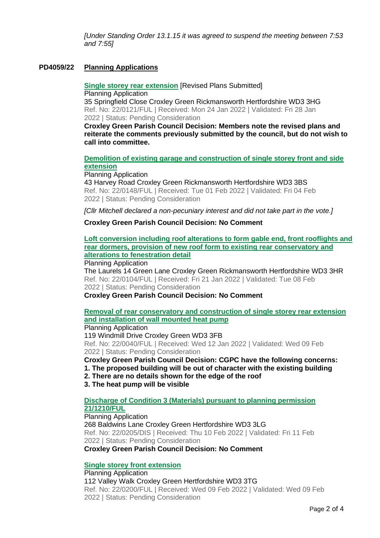*[Under Standing Order 13.1.15 it was agreed to suspend the meeting between 7:53 and 7:55]*

# **PD4059/22 Planning Applications**

**[Single storey rear extension](https://www3.threerivers.gov.uk/online-applications/applicationDetails.do?activeTab=summary&keyVal=R69IKJQF0DC00&prevPage=inTray)** [Revised Plans Submitted] Planning Application 35 Springfield Close Croxley Green Rickmansworth Hertfordshire WD3 3HG Ref. No: 22/0121/FUL | Received: Mon 24 Jan 2022 | Validated: Fri 28 Jan 2022 | Status: Pending Consideration

**Croxley Green Parish Council Decision: Members note the revised plans and reiterate the comments previously submitted by the council, but do not wish to call into committee.** 

## **[Demolition of existing garage and construction of single storey front and side](https://www3.threerivers.gov.uk/online-applications/applicationDetails.do?activeTab=summary&keyVal=R6MR11QF0DC00&prevPage=inTray)  [extension](https://www3.threerivers.gov.uk/online-applications/applicationDetails.do?activeTab=summary&keyVal=R6MR11QF0DC00&prevPage=inTray)**

Planning Application

43 Harvey Road Croxley Green Rickmansworth Hertfordshire WD3 3BS Ref. No: 22/0148/FUL | Received: Tue 01 Feb 2022 | Validated: Fri 04 Feb 2022 | Status: Pending Consideration

*[Cllr Mitchell declared a non-pecuniary interest and did not take part in the vote.]*

### **Croxley Green Parish Council Decision: No Comment**

**[Loft conversion including roof alterations to form gable end, front rooflights and](https://www3.threerivers.gov.uk/online-applications/applicationDetails.do?activeTab=summary&keyVal=R623TSQF0DC00&prevPage=inTray)  rear dormers, provision of new [roof form to existing rear conservatory and](https://www3.threerivers.gov.uk/online-applications/applicationDetails.do?activeTab=summary&keyVal=R623TSQF0DC00&prevPage=inTray)  [alterations to fenestration detail](https://www3.threerivers.gov.uk/online-applications/applicationDetails.do?activeTab=summary&keyVal=R623TSQF0DC00&prevPage=inTray)**

Planning Application

The Laurels 14 Green Lane Croxley Green Rickmansworth Hertfordshire WD3 3HR Ref. No: 22/0104/FUL | Received: Fri 21 Jan 2022 | Validated: Tue 08 Feb 2022 | Status: Pending Consideration

**Croxley Green Parish Council Decision: No Comment**

# **[Removal of rear conservatory and construction of single storey rear extension](https://www3.threerivers.gov.uk/online-applications/applicationDetails.do?activeTab=summary&keyVal=R5L7OMQFIII00&prevPage=inTray)  [and installation of wall mounted heat pump](https://www3.threerivers.gov.uk/online-applications/applicationDetails.do?activeTab=summary&keyVal=R5L7OMQFIII00&prevPage=inTray)**

Planning Application

119 Windmill Drive Croxley Green WD3 3FB Ref. No: 22/0040/FUL | Received: Wed 12 Jan 2022 | Validated: Wed 09 Feb 2022 | Status: Pending Consideration

**Croxley Green Parish Council Decision: CGPC have the following concerns:**

**1. The proposed building will be out of character with the existing building**

**2. There are no details shown for the edge of the roof**

**3. The heat pump will be visible**

### **[Discharge of Condition 3 \(Materials\) pursuant to planning permission](https://www3.threerivers.gov.uk/online-applications/applicationDetails.do?activeTab=summary&keyVal=R72WY5QFIRN00&prevPage=inTray)  [21/1210/FUL](https://www3.threerivers.gov.uk/online-applications/applicationDetails.do?activeTab=summary&keyVal=R72WY5QFIRN00&prevPage=inTray)**

Planning Application 268 Baldwins Lane Croxley Green Hertfordshire WD3 3LG Ref. No: 22/0205/DIS | Received: Thu 10 Feb 2022 | Validated: Fri 11 Feb 2022 | Status: Pending Consideration

**Croxley Green Parish Council Decision: No Comment**

## **[Single storey front extension](https://www3.threerivers.gov.uk/online-applications/applicationDetails.do?activeTab=summary&keyVal=R712EBQFIRC00&prevPage=inTray)**

Planning Application 112 Valley Walk Croxley Green Hertfordshire WD3 3TG Ref. No: 22/0200/FUL | Received: Wed 09 Feb 2022 | Validated: Wed 09 Feb 2022 | Status: Pending Consideration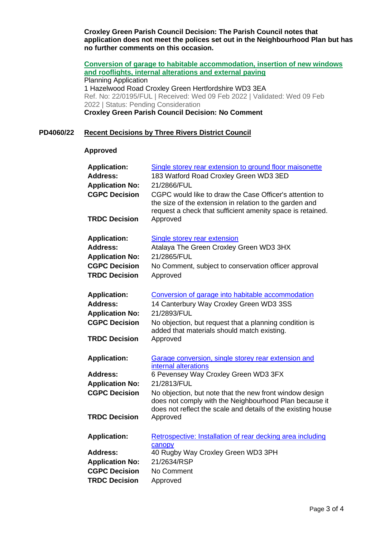**Croxley Green Parish Council Decision: The Parish Council notes that application does not meet the polices set out in the Neighbourhood Plan but has no further comments on this occasion.**

**[Conversion of garage to habitable accommodation, insertion of new windows](https://www3.threerivers.gov.uk/online-applications/applicationDetails.do?activeTab=summary&keyVal=R7128LQFIR100&prevPage=inTray)  [and rooflights, internal alterations and external paving](https://www3.threerivers.gov.uk/online-applications/applicationDetails.do?activeTab=summary&keyVal=R7128LQFIR100&prevPage=inTray)** Planning Application 1 Hazelwood Road Croxley Green Hertfordshire WD3 3EA Ref. No: 22/0195/FUL | Received: Wed 09 Feb 2022 | Validated: Wed 09 Feb 2022 | Status: Pending Consideration **Croxley Green Parish Council Decision: No Comment**

## **PD4060/22 Recent Decisions by Three Rivers District Council**

### **Approved**

| <b>Application:</b>    | Single storey rear extension to ground floor maisonette                                                                                                                           |
|------------------------|-----------------------------------------------------------------------------------------------------------------------------------------------------------------------------------|
| <b>Address:</b>        | 183 Watford Road Croxley Green WD3 3ED                                                                                                                                            |
| <b>Application No:</b> | 21/2866/FUL                                                                                                                                                                       |
| <b>CGPC Decision</b>   | CGPC would like to draw the Case Officer's attention to<br>the size of the extension in relation to the garden and<br>request a check that sufficient amenity space is retained.  |
| <b>TRDC Decision</b>   | Approved                                                                                                                                                                          |
| <b>Application:</b>    | <b>Single storey rear extension</b>                                                                                                                                               |
| <b>Address:</b>        | Atalaya The Green Croxley Green WD3 3HX                                                                                                                                           |
| <b>Application No:</b> | 21/2865/FUL                                                                                                                                                                       |
| <b>CGPC Decision</b>   | No Comment, subject to conservation officer approval                                                                                                                              |
| <b>TRDC Decision</b>   | Approved                                                                                                                                                                          |
| <b>Application:</b>    | Conversion of garage into habitable accommodation                                                                                                                                 |
| <b>Address:</b>        | 14 Canterbury Way Croxley Green WD3 3SS                                                                                                                                           |
| <b>Application No:</b> | 21/2893/FUL                                                                                                                                                                       |
| <b>CGPC Decision</b>   | No objection, but request that a planning condition is<br>added that materials should match existing.                                                                             |
| <b>TRDC Decision</b>   | Approved                                                                                                                                                                          |
| <b>Application:</b>    | Garage conversion, single storey rear extension and<br>internal alterations                                                                                                       |
| <b>Address:</b>        | 6 Pevensey Way Croxley Green WD3 3FX                                                                                                                                              |
| <b>Application No:</b> | 21/2813/FUL                                                                                                                                                                       |
| <b>CGPC Decision</b>   | No objection, but note that the new front window design<br>does not comply with the Neighbourhood Plan because it<br>does not reflect the scale and details of the existing house |
| <b>TRDC Decision</b>   | Approved                                                                                                                                                                          |
| <b>Application:</b>    | Retrospective: Installation of rear decking area including<br>canopy                                                                                                              |
| <b>Address:</b>        | 40 Rugby Way Croxley Green WD3 3PH                                                                                                                                                |
| <b>Application No:</b> | 21/2634/RSP                                                                                                                                                                       |
| <b>CGPC Decision</b>   | No Comment                                                                                                                                                                        |
| <b>TRDC Decision</b>   | Approved                                                                                                                                                                          |